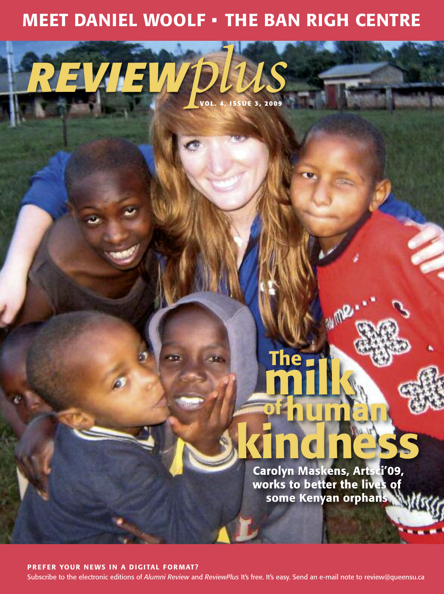# **MEET DANIEL WOOLF • THE BAN RIGH CENTRE**

*REVIEWplus* **VO L. 4, <sup>I</sup> SSUE 3, <sup>2009</sup>**

# **Carolyn Maskens, Artsci'09, works to better the lives of some Kenyan orphans kindness**

**ofhuman**

2

**milk**

**The**

**PREF ER YOUR N EWS I N A DIGITAL FORMAT?**

Subscribe to the electronic editions of *Alumni Review* and *ReviewPlus* It's free. It's easy. Send an e-mail note to review@queensu.ca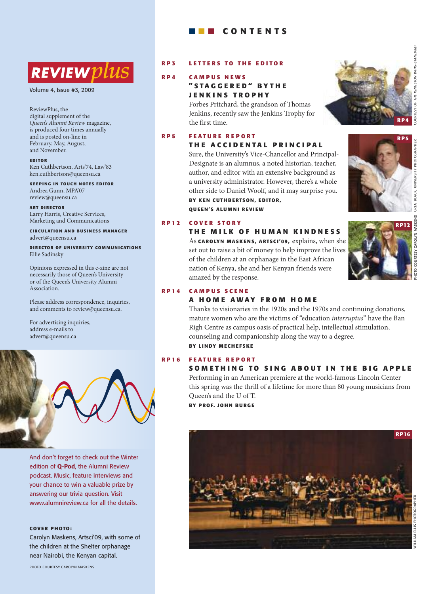# **REVIEW** DUS

volume 4, Issue #3, 2009

ReviewPlus, the digital supplement of the *Queen's Alumni Review* magazine, is produced four times annually and is posted on-line in February, May, August, and November.

#### **E D ITO R**

Ken Cuthbertson, Arts'74, Law'83 ken.cuthbertson@queensu.ca

**KE EPI N G I N TO UCH N OTES E D ITO R** Andrea Gunn, MPA'07 review@queensu.ca

**ART D I RECTO R** Larry Harris, Creative Services, Marketing and Communications

**CI RCULATI O N AN D BUS I N ESS MANAG ER** advert@queensu.ca

**DIRECTOR OF UNIVERSITY COMMUNICATIONS** Ellie Sadinsky

Opinions expressed in this e-zine are not necessarily those of Queen's University or of the Queen's University Alumni Association.

Please address correspondence, inquiries, and comments to review@queensu.ca.

For advertising inquiries, address e-mails to advert@queensu.ca



And don't forget to check out the Winter edition of **Q-Pod**, the Alumni Review podcast. music, feature interviews and your chance to win a valuable prize by answering our trivia question. Visit www.alumnireview.ca for all the details.

#### **COVER PHOTO:**

carolyn maskens, artsci'09, with some of the children at the Shelter orphanage near nairobi, the kenyan capital.

## ■ ■ ■ **C O N T E N T S**

#### **R P 3 L E T T E R S T O T H E E D I T O R**

### **R P 4 C A M P U S N E W S " S TA G G E R E D " B Y T H E J E N K I N S T R O P H Y**

Forbes Pritchard, the grandson of Thomas Jenkins, recently saw the Jenkins Trophy for the first time.

#### **R P 5 F E AT U R E R E P O R T T H E A C C I D E N TA L P R I N C I P A L**

Sure, the University's Vice-Chancellor and Principal-Designate is an alumnus, a noted historian, teacher, author, and editor with an extensive background as a university administrator. However, there's a whole other side to Daniel Woolf, and it may surprise you. **BY KE N CUTH BERTSO N, E D ITO R, Q UE E N'S ALU M N I REVI EW**

**T H E M I L K O F H U M A N K I N D N E S S**

of the children at an orphanage in the East African nation of Kenya, she and her Kenyan friends were







AROLYN

# As **CARO LYN MASKE <sup>N</sup> S, ARTSCI'09,** explains, when she set out to raise a bit of money to help improve the lives **RP12**

#### **R P 1 4 C A M P U S S C E N E**

**R P 1 2 C O V E R S T O R Y**

#### **A H O M E A W AY F R O M H O M E**

Thanks to visionaries in the 1920s and the 1970s and continuing donations, mature women who are the victims of "education *interruptus*" have the Ban Righ Centre as campus oasis of practical help, intellectual stimulation, counseling and companionship along the way to a degree. **BY LI N DY M ECH E F SKE**

amazed by the response.

### **R P 1 6 F E AT U R E R E P O R T**

#### SOMETHING TO SING ABOUT IN THE BIG APPLE

Performing in an American premiere at the world-famous Lincoln Center this spring was the thrill of a lifetime for more than 80 young musicians from Queen's and the U of T.

**BY** PROF. JOHN BURGE



**UNGSTON WHIG-STANDARD** 

៉ TESY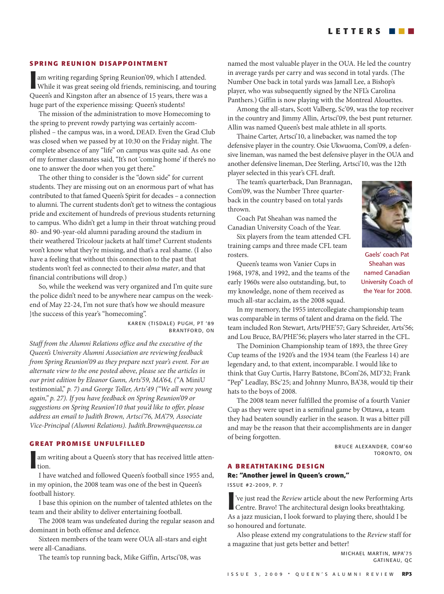#### **SPRI N G REU N I O N D I SAPP O I NTM E NT**

**I** am writing regarding Spring Reunion'09, which I attended. While it was great seeing old friends, reminiscing, and tour Queen's and Kingston after an absence of 15 years, there was a am writing regarding Spring Reunion'09, which I attended. While it was great seeing old friends, reminiscing, and touring huge part of the experience missing: Queen's students!

The mission of the administration to move Homecoming to the spring to prevent rowdy partying was certainly accomplished – the campus was, in a word, DEAD. Even the Grad Club was closed when we passed by at 10:30 on the Friday night. The complete absence of any "life" on campus was quite sad. As one of my former classmates said, "It's not 'coming home' if there's no one to answer the door when you get there."

The other thing to consider is the "down side" for current students. They are missing out on an enormous part of what has contributed to that famed Queen's Spirit for decades – a connection to alumni. The current students don't get to witness the contagious pride and excitement of hundreds of previous students returning to campus. Who didn't get a lump in their throat watching proud 80- and 90-year-old alumni parading around the stadium in their weathered Tricolour jackets at half time? Current students won't know what they're missing, and that's a real shame. (I also have a feeling that without this connection to the past that students won't feel as connected to their *alma mater*, and that financial contributions will drop.)

So, while the weekend was very organized and I'm quite sure the police didn't need to be anywhere near campus on the weekend of May 22-24, I'm not sure that's how we should measure }the success of this year's "homecoming".

> KAREN (TISDALE) PUGH, PT '89 **BRANTFORD, ON**

*Staff from the Alumni Relations office and the executive of the Queen's University Alumni Association are reviewing feedback from Spring Reunion'09 as they prepare next year's event. For an alternate view to the one posted above, please see the articles in our print edition by Eleanor Gunn, Arts'59, MA'64, ("*A MiniU testimonial," *p. 7) and George Toller, Arts'49 ("We all were young again," p. 27). If you have feedback on Spring Reunion'09 or suggestions on Spring Reunion'10 that you'd like to offer, please address an email to Judith Brown, Artsci'76, MA'79, Associate Vice-Principal (Alumni Relations). Judith.Brown@queensu.ca*

#### **G REAT PROM I S E U N FULF I LLE D**

**I** am writing about a Queen's story that has received little attention.

I have watched and followed Queen's football since 1955 and, in my opinion, the 2008 team was one of the best in Queen's football history.

I base this opinion on the number of talented athletes on the team and their ability to deliver entertaining football.

The 2008 team was undefeated during the regular season and dominant in both offense and defence.

Sixteen members of the team were OUA all-stars and eight were all-Canadians.

The team's top running back, Mike Giffin, Artsci'08, was

named the most valuable player in the OUA. He led the country in average yards per carry and was second in total yards. (The Number One back in total yards was Jamall Lee, a Bishop's player, who was subsequently signed by the NFL's Carolina Panthers.) Giffin is now playing with the Montreal Alouettes.

Among the all-stars, Scott Valberg, Sc'09, was the top receiver in the country and Jimmy Allin, Artsci'09, the best punt returner. Allin was named Queen's best male athlete in all sports.

Thaine Carter, Artsci'10, a linebacker, was named the top defensive player in the country. Osie Ukwuoma, Com'09, a defensive lineman, was named the best defensive player in the OUA and another defensive lineman, Dee Sterling, Artsci'10, was the 12th player selected in this year's CFL draft.

The team's quarterback, Dan Brannagan, Com'09, was the Number Three quarterback in the country based on total yards thrown.

Coach Pat Sheahan was named the Canadian University Coach of the Year.

Six players from the team attended CFL training camps and three made CFL team rosters.



Gaels' coach Pat Sheahan was named canadian University Coach of the year for 2008.

Queen's teams won Vanier Cups in 1968, 1978, and 1992, and the teams of the early 1960s were also outstanding, but, to my knowledge, none of them received as much all-star acclaim, as the 2008 squad.

In my memory, the 1955 intercollegiate championship team was comparable in terms of talent and drama on the field. The team included Ron Stewart, Arts/PHE'57; Gary Schreider, Arts'56; and Lou Bruce, BA/PHE'56; players who later starred in the CFL.

The Dominion Championship team of 1893, the three Grey Cup teams of the 1920's and the 1934 team (the Fearless 14) are legendary and, to that extent, incomparable. I would like to think that Guy Curtis, Harry Batstone, BCom'26, MD'32; Frank "Pep" Leadlay, BSc'25; and Johnny Munro, BA'38, would tip their hats to the boys of 2008.

The 2008 team never fulfilled the promise of a fourth Vanier Cup as they were upset in a semifinal game by Ottawa, a team they had beaten soundly earlier in the season. It was a bitter pill and may be the reason that their accomplishments are in danger of being forgotten.

> BRUCE ALEXANDER, COM'60 toronto, on

#### **A** BREATHTAKING DESIGN

#### **Re: "Another jewel in Queen's crown,"**

I SSuE #2-2009, P. 7

<sup>2</sup>
<sup>2</sup>
<sup>2</sup>
<sup>2</sup>
 Centre. Bravo! The architectural design looks breathtaking. Centre. Bravo! The architectural design looks breathtaking. As a jazz musician, I look forward to playing there, should I be so honoured and fortunate.

Also please extend my congratulations to the *Review* staff for a magazine that just gets better and better!

> MICHAEL MARTIN, MPA'75 GATINEAU, OC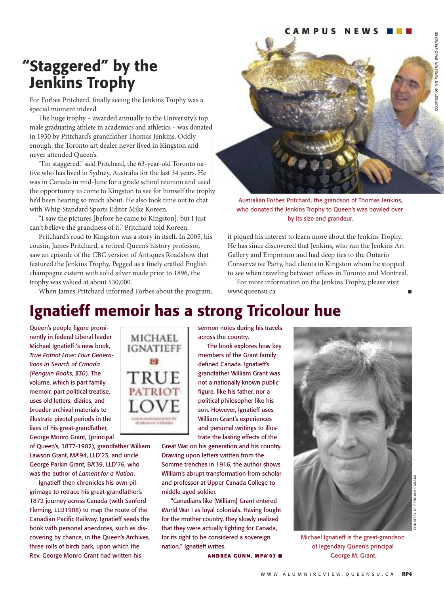## **"Staggered" by the Jenkins Trophy**

For Forbes Pritchard, finally seeing the Jenkins Trophy was a special moment indeed.

The huge trophy – awarded annually to the University's top male graduating athlete in academics and athletics – was donated in 1930 by Pritchard's grandfather Thomas Jenkins. Oddly enough, the Toronto art dealer never lived in Kingston and never attended Queen's.

"I'm staggered," said Pritchard, the 63-year-old Toronto native who has lived in Sydney, Australia for the last 34 years. He was in Canada in mid-June for a grade school reunion and used the opportunity to come to Kingston to see for himself the trophy he'd been hearing so much about. He also took time out to chat with Whig-Standard Sports Editor Mike Koreen.

"I saw the pictures [before he came to Kingston], but I just can't believe the grandness of it," Pritchard told Koreen.

Pritchard's road to Kingston was a story in itself. In 2005, his cousin, James Pritchard, a retired Queen's history professor, saw an episode of the CBC version of Antiques Roadshow that featured the Jenkins Trophy. Pegged as a finely crafted English champagne cistern with solid silver made prior to 1896, the trophy was valued at about \$30,000.

When James Pritchard informed Forbes about the program,



Australian Forbes Pritchard, the grandson of Thomas Jenkins, who donated the Jenkins Trophy to Queen's was bowled over by its size and grandeur.

it piqued his interest to learn more about the Jenkins Trophy. He has since discovered that Jenkins, who ran the Jenkins Art Gallery and Emporium and had deep ties to the Ontario Conservative Party, had clients in Kingston whom he stopped to see when traveling between offices in Toronto and Montreal.

For more information on the Jenkins Trophy, please visit www.queensu.ca

## **Ignatieff memoir has a strong Tricolour hue**

Queen's people figure prominently in federal liberal leader michael Ignatieff 's new book, *True Patriot Love: Four Generations in Search of Canada (Penguin Books, \$30*). the volume, which is part family memoir, part political treatise, uses old letters, diaries, and broader archival materials to illustrate pivotal periods in the lives of his great-grandfather, George Monro Grant, (principal

of queen's, 1877-1902), grandfather William Lawson Grant, MA'94, LLD'23, and uncle George Parkin Grant, BA'39, LLD'76, who was the author of *Lament for a Nation*.

Ignatieff then chronicles his own pilgrimage to retrace his great-grandfather's 1872 journey across canada (with Sanford Fleming, LLD1908) to map the route of the Canadian Pacific Railway. Ignatieff seeds the book with personal anecdotes, such as discovering by chance, in the Queen's Archives, three rolls of birch bark, upon which the Rev. George Monro Grant had written his



sermon notes during his travels across the country.

The book explores how key members of the Grant family defined canada. Ignatieff's grandfather William grant was not a nationally known public figure, like his father, nor a political philosopher like his son. However, Ignatieff uses William Grant's experiences and personal writings to illustrate the lasting effects of the

Great War on his generation and his country. Drawing upon letters written from the Somme trenches in 1916, the author shows William's abrupt transformation from scholar and professor at Upper Canada College to middle-aged soldier.

"Canadians like [William] Grant entered World War I as loyal colonials. Having fought for the mother country, they slowly realized that they were actually fighting for canada, for its right to be considered a sovereign nation," Ignatieff writes.

**AN <sup>D</sup> REA <sup>G</sup> <sup>U</sup> <sup>N</sup> N, <sup>M</sup> PA'07** B



michael Ignatieff is the great-grandson of legendary queen's principal George M. Grant.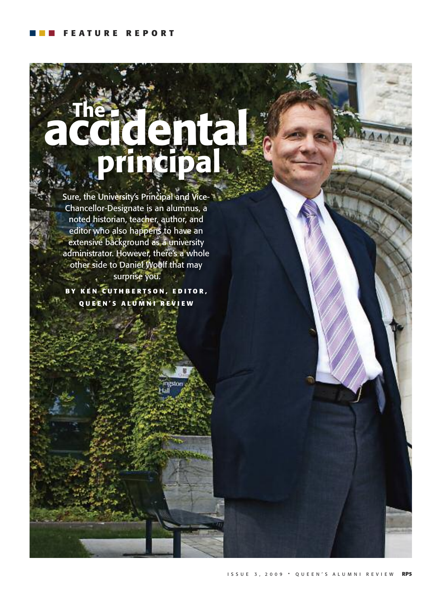# **The accidental principal**

Sure, the University's Principal and Vice-Chancellor-Designate is an alumnus, a noted historian, teacher, author, and editor who also happens to have an extensive background as a university administrator. However, there's a whole other side to Daniel Woolf that may **Surprise you.** Œ

**B Y K E N C U T H B E R T S O N , E D I T O R , Q U E E N ' S A L U M N I R E V I E W**

igston.

I S S u E 3 , 2 0 0 9 • q u E E n ' S a l u m n I r E v I E W **RP5**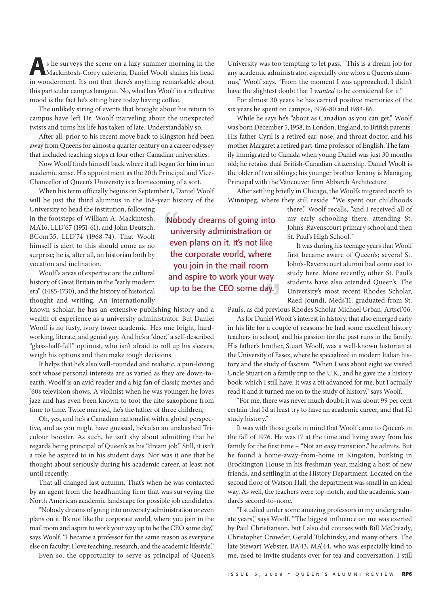**A**<sup>s</sup> he surveys the scene on <sup>a</sup> lazy summer morning in the Mackintosh-Corry cafeteria, Daniel Woolf shakes his head in wonderment. It's not that there's anything remarkable about this particular campus hangout. No, what has Woolf in a reflective mood is the fact he's sitting here today having coffee.

The unlikely string of events that brought about his return to campus have left Dr. Woolf marveling about the unexpected twists and turns his life has taken of late. Understandably so.

After all, prior to his recent move back to Kingston he'd been away from Queen's for almost a quarter century on a career odyssey that included teaching stops at four other Canadian universities.

Now Woolf finds himself back where it all began for him in an academic sense. His appointment as the 20th Principal and Vice-Chancellor of Queen's University is a homecoming of a sort.

When his term officially begins on September 1, Daniel Woolf will be just the third alumnus in the 168-year history of the

University to head the institution, following in the footsteps of William A. Mackintosh, MA'16, LLD'67 (1951-61), and John Deutsch, BCom'35, LLD'74 (1968-74). That Woolf himself is alert to this should come as no surprise; he is, after all, an historian both by vocation and inclination.

Woolf's areas of expertise are the cultural history of Great Britain in the "early modern era" (1485-1730), and the history of historical thought and writing. An internationally

known scholar, he has an extensive publishing history and a wealth of experience as a university administrator. But Daniel Woolf is no fusty, ivory tower academic. He's one bright, hardworking, literate, and genial guy. And he's a "doer," a self-described "glass-half-full" optimist, who isn't afraid to roll up his sleeves, weigh his options and then make tough decisions.

It helps that he's also well-rounded and realistic, a pun-loving sort whose personal interests are as varied as they are down-toearth. Woolf is an avid reader and a big fan of classic movies and '60s television shows. A violinist when he was younger, he loves jazz and has even been known to toot the alto saxophone from time to time. Twice married, he's the father of three children,

Oh, yes, and he's a Canadian nationalist with a global perspective, and as you might have guessed, he's also an unabashed Tricolour booster. As such, he isn't shy about admitting that he regards being principal of Queen's as his "dream job." Still, it isn't a role he aspired to in his student days. Nor was it one that he thought about seriously during his academic career, at least not until recently.

That all changed last autumn. That's when he was contacted by an agent from the headhunting firm that was surveying the North American academic landscape for possible job candidates.

"Nobody dreams of going into university administration or even plans on it. It's not like the corporate world, where you join in the mail room and aspire to work your way up to be the CEO some day," says Woolf. "I became a professor for the same reason as everyone else on faculty: I love teaching, research, and the academic lifestyle."

Even so, the opportunity to serve as principal of Queen's

nobody dreams of going into university administration or even plans on it. It's not like the corporate world, where you join in the mail room and aspire to work your way up to be the CEO some day.

University was too tempting to let pass. "This is a dream job for any academic administrator, especially one who's a Queen's alumnus," Woolf says. "From the moment I was approached, I didn't have the slightest doubt that I *wanted* to be considered for it."

For almost 30 years he has carried positive memories of the six years he spent on campus, 1976-80 and 1984-86.

While he says he's "about as Canadian as you can get," Woolf was born December 5,1958, in London, England, to British parents. His father Cyril is a retired ear, nose, and throat doctor, and his mother Margaret a retired part-time professor of English. The family immigrated to Canada when young Daniel was just 30 months old; he retains dual British-Canadian citizenship. Daniel Woolf is the older of two siblings; his younger brother Jeremy is Managing Principal with the Vancouver firm Abbarch Architecture.

After settling briefly in Chicago, the Woolfs migrated north to Winnipeg, where they still reside. "We spent our childhoods

> there," Woolf recalls, "and I received all of my early schooling there, attending St. John's-Ravenscourt primary school and then St. Paul's High School."

It was during his teenage years that Woolf first became aware of Queen's; several St. John's-Ravenscourt alumni had come east to study here. More recently, other St. Paul's students have also attended Queen's. The University's most recent Rhodes Scholar, Raed Joundi, Meds'11, graduated from St.

Paul's, as did previous Rhodes Scholar Michael Urban, Artsci'06.

As for Daniel Woolf's interest in history, that also emerged early in his life for a couple of reasons: he had some excellent history teachers in school, and his passion for the past runs in the family. His father's brother, Stuart Woolf, was a well-known historian at the University of Essex, where he specialized in modern Italian history and the study of fascism. "When I was about eight we visited Uncle Stuart on a family trip to the U.K., and he gave me a history book, which I still have. It was a bit advanced for me, but I actually read it and it turned me on to the study of history," says Woolf.

"For me, there was never much doubt; it was about 99 per cent certain that I'd at least try to have an academic career, and that I'd study history."

It was with those goals in mind that Woolf came to Queen's in the fall of 1976. He was 17 at the time and living away from his family for the first time – "Not an easy transition," he admits. But he found a home-away-from-home in Kingston, bunking in Brockington House in his freshman year, making a host of new friends, and settling in at the History Department. Located on the second floor of Watson Hall, the department was small in an ideal way. As well, the teachers were top-notch, and the academic standards second-to-none.

"I studied under some amazing professors in my undergraduate years," says Woolf. "The biggest influence on me was exerted by Paul Christianson, but I also did courses with Bill McCready, Christopher Crowder, Gerald Tulchinsky, and many others. The late Stewart Webster, BA'43, MA'44, who was especially kind to me, used to invite students over for tea and conversation. I still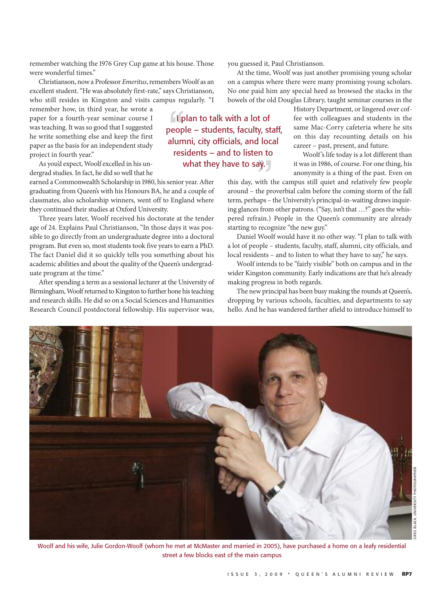remember watching the 1976 Grey Cup game at his house. Those were wonderful times."

Christianson, nowa Professor *Emeritus*,remembersWoolf as an excellent student."He was absolutely first-rate," says Christianson, who still resides in Kingston and visits campus regularly. "I

remember how, in third year, he wrote a paper for a fourth-year seminar course I was teaching. It was so good that I suggested he write something else and keep the first paper as the basis for an independent study project in fourth year."

As you'd expect, Woolf excelled in his undergrad studies.In fact, he did sowell that he

earned a Commonwealth Scholarship in 1980, his senior year. After graduating from Queen's with his Honours BA, he and a couple of classmates, also scholarship winners, went off to England where they continued their studies at Oxford University.

Three years later, Woolf received his doctorate at the tender age of 24. Explains Paul Christianson, "In those days it was possible to go directly from an undergraduate degree into a doctoral program. But even so, most students took five years to earn a PhD. The fact Daniel did it so quickly tells you something about his academic abilities and about the quality of the Queen's undergraduate program at the time."

After spending a term as a sessional lecturer at the University of Birmingham, Woolf returned to Kingston to further hone his teaching and research skills. He did so on a Social Sciences and Humanities Research Council postdoctoral fellowship. His supervisor was,

you guessed it, Paul Christianson.

At the time, Woolf was just another promising young scholar on a campus where there were many promising young scholars. No one paid him any special heed as browsed the stacks in the bowels of the old Douglas Library, taught seminar courses in the

> History Department, or lingered over coffee with colleagues and students in the same Mac-Corry cafeteria where he sits on this day recounting details on his career – past, present, and future.

Woolf's life today is a lot different than it was in 1986, of course. For one thing, his anonymity is a thing of the past. Even on

this day, with the campus still quiet and relatively few people around – the proverbial calm before the coming storm of the fall term, perhaps – the University's principal-in-waiting drawsinquiring glances from other patrons. ("Say, isn't that ...?" goes the whispered refrain.) People in the Queen's community are already starting to recognize "the new guy."

Daniel Woolf would have it no other way. "I plan to talk with a lot of people – students, faculty, staff, alumni, city officials, and local residents – and to listen to what they have to say," he says.

Woolf intends to be "fairly visible" both on campus and in the wider Kingston community. Early indications are that he's already making progress in both regards.

The new principal has been busy making the rounds at Queen's, dropping by various schools, faculties, and departments to say hello. And he has wandered farther afield to introduce himself to



street a few blocks east of the main campus

## I plan to talk with a lot of people – students, faculty, staff, alumni, city officials, and local residents – and to listen to what they have to say.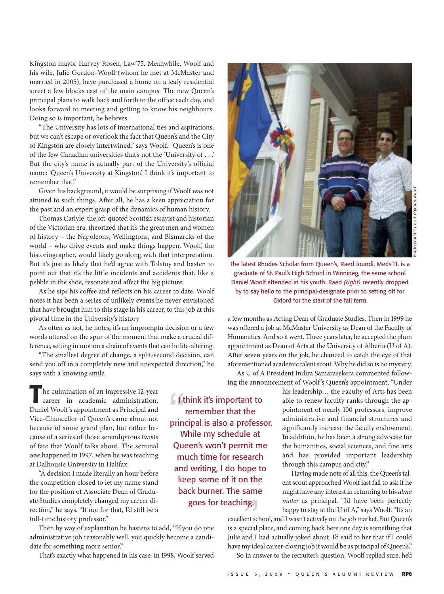Kingston mayor Harvey Rosen, Law'75. Meanwhile, Woolf and his wife, Julie Gordon-Woolf (whom he met at McMaster and married in 2005), have purchased a home on a leafy residential street a few blocks east of the main campus. The new Queen's principal plans to walk back and forth to the office each day, and looks forward to meeting and getting to know his neighbours. Doing so is important, he believes.

"The University has lots of international ties and aspirations, but we can't escape or overlook the fact that Queen's and the City of Kingston are closely intertwined," says Woolf. "Queen's is one of the few Canadian universities that's not the 'University of . . .' But the city's name is actually part of the University's official name: 'Queen's University at Kingston'. I think it's important to remember that."

Given his background, it would be surprising if Woolf was not attuned to such things. After all, he has a keen appreciation for the past and an expert grasp of the dynamics of human history.

Thomas Carlyle, the oft-quoted Scottish essayist and historian of the Victorian era, theorized that it's the great men and women of history – the Napoleons, Wellingtons, and Bismarcks of the world – who drive events and make things happen. Woolf, the historiographer, would likely go along with that interpretation. But it's just as likely that he'd agree with Tolstoy and hasten to point out that it's the little incidents and accidents that, like a pebble in the shoe, resonate and affect the big picture.

As he sips his coffee and reflects on his career to date, Woolf notes it has been a series of unlikely events he never envisioned that have brought him to this stage in his career, to this job at this pivotal time in the University's history

As often as not, he notes, it's an impromptu decision or a few words uttered on the spur of the moment that make a crucial difference, setting in motion a chain of events that can be life-altering.

"The smallest degree of change, a split-second decision, can send you off in a completely new and unexpected direction," he says with a knowing smile.

**T**he culmination of an impressive 12-year career in academic administration, Daniel Woolf's appointment as Principal and Vice-Chancellor of Queen's came about not because of some grand plan, but rather because of a series of those serendipitous twists of fate that Woolf talks about. The seminal one happened in 1997, when he was teaching at Dalhousie University in Halifax.

"A decision I made literally an hour before the competition closed to let my name stand for the position of Associate Dean of Graduate Studies completely changed my career direction," he says. "If not for that, I'd still be a full-time history professor."

Then by way of explanation he hastens to add, "If you do one administrative job reasonably well, you quickly become a candidate for something more senior."

That's exactly what happened in his case. In 1998, Woolf served

**I** think it's important to remember that the principal is also a professor. While my schedule at Queen's won't permit me much time for research and writing, I do hope to keep some of it on the back burner. The same goes for teaching.



The latest Rhodes Scholar from Queen's, Raed Joundi, Meds'11, is a graduate of St. Paul's High School in Winnipeg, the same school Daniel Woolf attended in his youth. Raed *(right)* recently dropped by to say hello to the principal-designate prior to setting off for oxford for the start of the fall term.

a few months as Acting Dean of Graduate Studies. Then in 1999 he was offered a job at McMaster University as Dean of the Faculty of Humanities. And so it went. Three years later, he accepted the plum appointment as Dean of Arts at the University of Alberta (U of A). After seven years on the job, he chanced to catch the eye of that aforementioned academic talent scout. Why he did so is no mystery.

As U of A President Indira Samarasekera commented following the announcement of Woolf's Queen's appointment, "Under

> his leadership… the Faculty of Arts has been able to renew faculty ranks through the appointment of nearly 100 professors, improve administrative and financial structures and significantly increase the faculty endowment. In addition, he has been a strong advocate for the humanities, social sciences, and fine arts and has provided important leadership through this campus and city."

> Having made note of all this, the Queen's talent scout approached Woolf last fall to ask if he might have any interest in returning to his *alma mater* as principal. "I'd have been perfectly happy to stay at the U of A," says Woolf. "It's an

excellent school, and I wasn't actively on the job market. But Queen's is a special place, and coming back here one day is something that Julie and I had actually joked about. I'd said to her that if I could have my ideal career-closing job it would be as principal of Queen's." So in answer to the recruiter's question, Woolf replied sure, he'd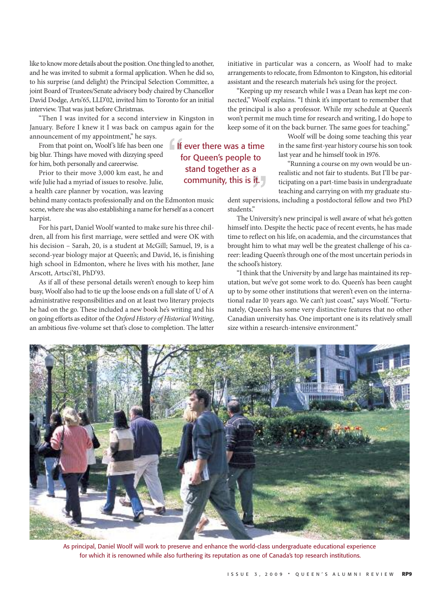like to know more details about the position. One thing led to another, and he was invited to submit a formal application. When he did so, to his surprise (and delight) the Principal Selection Committee, a joint Board of Trustees/Senate advisory body chaired by Chancellor David Dodge, Arts'65, LLD'02, invited him to Toronto for an initial interview. That was just before Christmas.

"Then I was invited for a second interview in Kingston in January. Before I knew it I was back on campus again for the announcement of my appointment," he says.

From that point on, Woolf's life has been one big blur. Things have moved with dizzying speed for him, both personally and careerwise.

Prior to their move 3,000 km east, he and wife Julie had a myriad of issues to resolve. Julie, a health care planner by vocation, was leaving

behind many contacts professionally and on the Edmonton music scene, where she was also establishing a name for herself as a concert harpist.

For his part, Daniel Woolf wanted to make sure his three children, all from his first marriage, were settled and were OK with his decision – Sarah, 20, is a student at McGill; Samuel, 19, is a second-year biology major at Queen's; and David, 16, is finishing high school in Edmonton, where he lives with his mother, Jane Arscott, Artsci'81, PhD'93.

As if all of these personal details weren't enough to keep him busy, Woolf also had to tie up the loose ends on a full slate of U of A administrative responsibilities and on at least two literary projects he had on the go. These included a new book he's writing and his on going efforts as editor of the *Oxford History of Historical Writing*, an ambitious five-volume set that's close to completion. The latter initiative in particular was a concern, as Woolf had to make arrangements to relocate, from Edmonton to Kingston, his editorial assistant and the research materials he's using for the project.

"Keeping up my research while I was a Dean has kept me connected," Woolf explains. "I think it's important to remember that the principal is also a professor. While my schedule at Queen's won't permit me much time for research and writing, I do hope to keep some of it on the back burner. The same goes for teaching."

> Woolf will be doing some teaching this year in the same first-year history course his son took last year and he himself took in 1976.

"Running a course on my own would be unrealistic and not fair to students. But I'll be participating on a part-time basis in undergraduate teaching and carrying on with my graduate stu-

dent supervisions, including a postdoctoral fellow and two PhD students."

The University's new principal is well aware of what he's gotten himself into. Despite the hectic pace of recent events, he has made time to reflect on his life, on academia, and the circumstances that brought him to what may well be the greatest challenge of his career: leading Queen's through one of the most uncertain periods in the school's history.

"I think that the University by and large has maintained itsreputation, but we've got some work to do. Queen's has been caught up to by some other institutions that weren't even on the international radar 10 years ago. We can't just coast," says Woolf. "Fortunately, Queen's has some very distinctive features that no other Canadian university has. One important one is its relatively small size within a research-intensive environment."



As principal, Daniel Woolf will work to preserve and enhance the world-class undergraduate educational experience for which it is renowned while also furthering its reputation as one of canada's top research institutions.

If ever there was a time for queen's people to stand together as a community, this is it.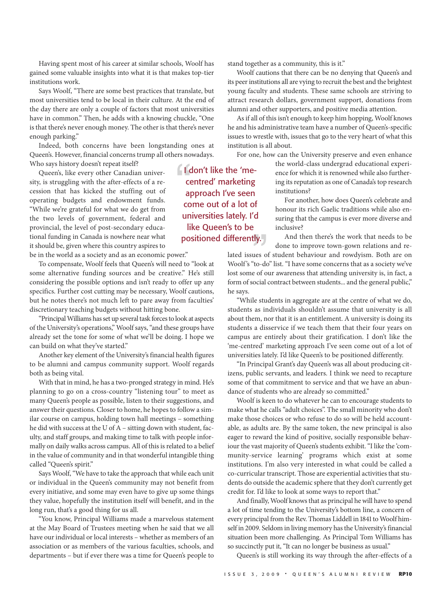Having spent most of his career at similar schools, Woolf has gained some valuable insights into what it is that makes top-tier institutions work.

Says Woolf, "There are some best practices that translate, but most universities tend to be local in their culture. At the end of the day there are only a couple of factors that most universities have in common." Then, he adds with a knowing chuckle, "One is that there's never enough money. The other is that there's never enough parking."

Indeed, both concerns have been longstanding ones at Queen's. However, financial concerns trump all others nowadays. Who says history doesn't repeat itself?

Queen's, like every other Canadian university, is struggling with the after-effects of a recession that has kicked the stuffing out of operating budgets and endowment funds. "While we're grateful for what we do get from the two levels of government, federal and provincial, the level of post-secondary educational funding in Canada is nowhere near what it should be, given where this country aspires to

be in the world as a society and as an economic power."

To compensate, Woolf feels that Queen's will need to "look at some alternative funding sources and be creative." He's still considering the possible options and isn't ready to offer up any specifics. Further cost cutting may be necessary, Woolf cautions, but he notes there's not much left to pare away from faculties' discretionary teaching budgets without hitting bone.

"Principal Williams has set up several task forces to look at aspects of the University's operations," Woolf says,"and these groups have already set the tone for some of what we'll be doing. I hope we can build on what they've started."

Another key element of the University's financial health figures to be alumni and campus community support. Woolf regards both as being vital.

With that in mind, he has a two-pronged strategy in mind. He's planning to go on a cross-country "listening tour" to meet as many Queen's people as possible, listen to their suggestions, and answer their questions. Closer to home, he hopes to follow a similar course on campus, holding town hall meetings – something he did with success at the U of A – sitting down with student, faculty, and staff groups, and making time to talk with people informally on daily walks across campus. All of this is related to a belief in the value of community and in that wonderful intangible thing called "Queen's spirit."

Says Woolf,"We have to take the approach that while each unit or individual in the Queen's community may not benefit from every initiative, and some may even have to give up some things they value, hopefully the institution itself will benefit, and in the long run, that's a good thing for us all.

"You know, Principal Williams made a marvelous statement at the May Board of Trustees meeting when he said that we all have our individual or local interests – whether as members of an association or as members of the various faculties, schools, and departments – but if ever there was a time for Queen's people to stand together as a community, this is it."

Woolf cautions that there can be no denying that Queen's and its peer institutions all are vying to recruit the best and the brightest young faculty and students. These same schools are striving to attract research dollars, government support, donations from alumni and other supporters, and positive media attention.

As if all of this isn't enough to keep him hopping, Woolf knows he and his administrative team have a number of Queen's-specific issues to wrestle with, issues that go to the very heart of what this institution is all about.

For one, how can the University preserve and even enhance

the world-class undergrad educational experience for which it is renowned while also furthering its reputation as one of Canada's top research institutions?

For another, how does Queen's celebrate and honour its rich Gaelic traditions while also ensuring that the campus is ever more diverse and inclusive?

And then there's the work that needs to be done to improve town-gown relations and re-

lated issues of student behaviour and rowdyism. Both are on Woolf's "to-do" list. "I have some concerns that as a society we've lost some of our awareness that attending university is, in fact, a form of social contract between students... and the general public," he says.

"While students in aggregate are at the centre of what we do, students as individuals shouldn't assume that university is all about them, nor that it is an entitlement. A university is doing its students a disservice if we teach them that their four years on campus are entirely about their gratification. I don't like the 'me-centred' marketing approach I've seen come out of a lot of universities lately. I'd like Queen's to be positioned differently.

"In Principal Grant's day Queen's was all about producing citizens, public servants, and leaders. I think we need to recapture some of that commitment to service and that we have an abundance of students who are already so committed."

Woolf is keen to do whatever he can to encourage students to make what he calls "adult choices". The small minority who don't make those choices or who refuse to do so will be held accountable, as adults are. By the same token, the new principal is also eager to reward the kind of positive, socially responsible behaviour the vast majority of Queen's students exhibit."I like the 'community-service learning' programs which exist at some institutions. I'm also very interested in what could be called a co-curricular transcript. Those are experiential activities that students do outside the academic sphere that they don't currently get credit for. I'd like to look at some ways to report that."

And finally, Woolf knowsthat as principal he will have to spend a lot of time tending to the University's bottom line, a concern of every principal from the Rev. Thomas Liddell in 1841 to Woolf himself in 2009. Seldom in living memory has the University's financial situation been more challenging. As Principal Tom Williams has so succinctly put it, "It can no longer be business as usual."

Queen's is still working its way through the after-effects of a

I don't like the 'mecentred' marketing approach I've seen come out of a lot of universities lately. I'd like Queen's to be positioned differently.

I S S u E 3 , 2 0 0 9 • q u E E n ' S a l u m n I r E v I E W **RP10**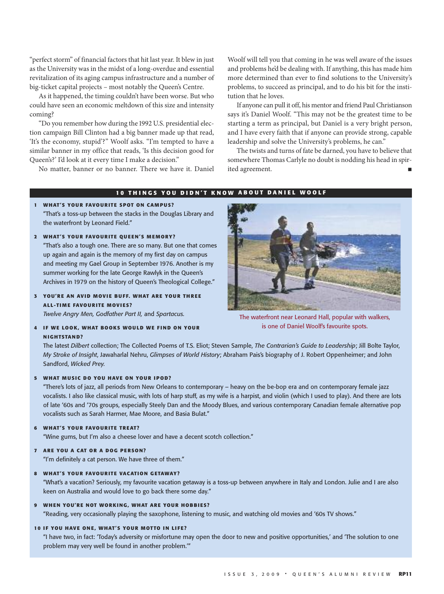"perfect storm" of financial factors that hit last year. It blew in just as the University was in the midst of a long-overdue and essential revitalization of its aging campus infrastructure and a number of big-ticket capital projects – most notably the Queen's Centre.

As it happened, the timing couldn't have been worse. But who could have seen an economic meltdown of this size and intensity coming?

"Do you remember how during the 1992 U.S. presidential election campaign Bill Clinton had a big banner made up that read, 'It's the economy, stupid'?" Woolf asks. "I'm tempted to have a similar banner in my office that reads, 'Is this decision good for Queen's?' I'd look at it every time I make a decision."

No matter, banner or no banner. There we have it. Daniel

Woolf will tell you that coming in he was well aware of the issues and problems he'd be dealing with. If anything, this has made him more determined than ever to find solutions to the University's problems, to succeed as principal, and to do his bit for the institution that he loves.

If anyone can pull it off, his mentor and friend Paul Christianson says it's Daniel Woolf. "This may not be the greatest time to be starting a term as principal, but Daniel is a very bright person, and I have every faith that if anyone can provide strong, capable leadership and solve the University's problems, he can."

The twists and turns of fate be darned, you have to believe that somewhere Thomas Carlyle no doubt is nodding his head in spirited agreement.

#### **10 THINGS YOU DIDN'T KNOW ABOUT DANIEL WOOLF**

- **1 WHAT'S YO UR FAVO URITE SP OT O N CAM PUS?** "That's a toss-up between the stacks in the Douglas Library and the waterfront by leonard field."
- **2 WHAT'S YO UR FAVO URITE Q UE E N'S M EMO RY?**

"that's also a tough one. there are so many. but one that comes up again and again is the memory of my first day on campus and meeting my Gael Group in September 1976. Another is my summer working for the late George Rawlyk in the Queen's Archives in 1979 on the history of Queen's Theological College."

## **3 YO U'RE AN AVI D MOVI E BUF F. WHAT ARE YO UR TH RE E ALL-TI M E FAVO URITE MOVI ES?**

*Twelve Angry Men, Godfather Part II,* and *Spartacus.*

**4 I F WE LO O K, WHAT BO O KS WO ULD WE F I N D O N YO UR N I GHTSTAN D?**



The waterfront near Leonard Hall, popular with walkers, is one of Daniel Woolf's favourite spots.

the latest *Dilbert* collection; the collected Poems of t.S. Eliot; Steven Sample, *The Contrarian's Guide to Leadership*; Jill bolte taylor, *My Stroke of Insight*, Jawaharlal nehru, *Glimpses of World History*; abraham Pais's biography of J. robert oppenheimer; and John Sandford, *Wicked Prey.*

#### **5 WHAT M US IC D O YO U HAVE O N YO UR I P O D?**

"there's lots of jazz, all periods from new orleans to contemporary – heavy on the be-bop era and on contemporary female jazz vocalists. I also like classical music, with lots of harp stuff, as my wife is a harpist, and violin (which I used to play). And there are lots of late '60s and '70s groups, especially Steely dan and the moody blues, and various contemporary canadian female alternative pop vocalists such as Sarah harmer, mae moore, and basia bulat."

**6 WHAT'S YO UR FAVO URITE TREAT?**

"Wine gums, but I'm also a cheese lover and have a decent scotch collection."

**7 ARE YO U A CAT O R A D O G PERSO N?**

"I'm definitely a cat person. We have three of them."

**8 WHAT'S YO UR FAVO URITE VACATI O N G ETAWAY?**

"What's a vacation? Seriously, my favourite vacation getaway is a toss-up between anywhere in Italy and london. Julie and I are also keen on Australia and would love to go back there some day."

#### **9 WH EN YOU'RE NOT WORKI NG, WHAT ARE YOUR HOBBI ES?**

"reading, very occasionally playing the saxophone, listening to music, and watching old movies and '60s tv shows."

#### **10 I F YO U HAVE O N E, WHAT'S YO UR MOT TO I N LI F E?**

"I have two, in fact: 'today's adversity or misfortune may open the door to new and positive opportunities,' and 'the solution to one problem may very well be found in another problem.'"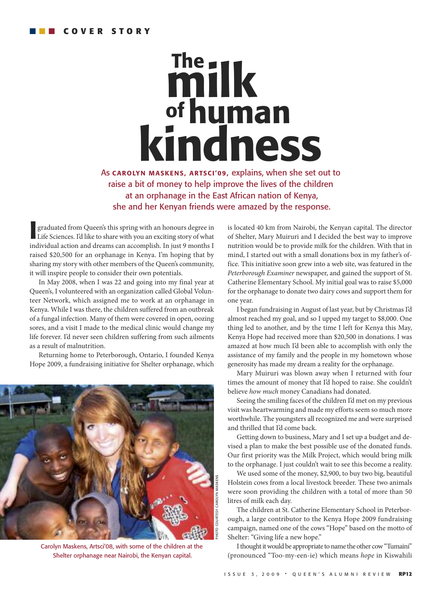# **kindness milk ofhuman The**

as **CAROLYN MASKENS, ARTSCI'09,** explains, when she set out to raise a bit of money to help improve the lives of the children at an orphanage in the East african nation of kenya, she and her kenyan friends were amazed by the response.

**I** graduated from Queen's this spring with an honours degree in Life Sciences. I'd like to share with you an exciting story of what individual action and dreams can accomplish. In just 9 months I graduated from Queen's this spring with an honours degree in Life Sciences. I'd like to share with you an exciting story of what raised \$20,500 for an orphanage in Kenya. I'm hoping that by sharing my story with other members of the Queen's community, it will inspire people to consider their own potentials.

In May 2008, when I was 22 and going into my final year at Queen's, I volunteered with an organization called Global Volunteer Network, which assigned me to work at an orphanage in Kenya. While I was there, the children suffered from an outbreak of a fungal infection. Many of them were covered in open, oozing sores, and a visit I made to the medical clinic would change my life forever. I'd never seen children suffering from such ailments as a result of malnutrition.

Returning home to Peterborough, Ontario, I founded Kenya Hope 2009, a fundraising initiative for Shelter orphanage, which



carolyn maskens, artsci'08, with some of the children at the Shelter orphanage near Nairobi, the Kenyan capital.

is located 40 km from Nairobi, the Kenyan capital. The director of Shelter, Mary Muiruri and I decided the best way to improve nutrition would be to provide milk for the children. With that in mind, I started out with a small donations box in my father's office. This initiative soon grew into a web site, was featured in the *Peterborough Examiner* newspaper, and gained the support of St. Catherine Elementary School. My initial goal was to raise \$5,000 for the orphanage to donate two dairy cows and support them for one year.

I began fundraising in August of last year, but by Christmas I'd almost reached my goal, and so I upped my target to \$8,000. One thing led to another, and by the time I left for Kenya this May, Kenya Hope had received more than \$20,500 in donations. I was amazed at how much I'd been able to accomplish with only the assistance of my family and the people in my hometown whose generosity has made my dream a reality for the orphanage.

Mary Muiruri was blown away when I returned with four times the amount of money that I'd hoped to raise. She couldn't believe *how much* money Canadians had donated.

Seeing the smiling faces of the children I'd met on my previous visit was heartwarming and made my efforts seem so much more worthwhile. The youngsters all recognized me and were surprised and thrilled that I'd come back.

Getting down to business, Mary and I set up a budget and devised a plan to make the best possible use of the donated funds. Our first priority was the Milk Project, which would bring milk to the orphanage. I just couldn't wait to see this become a reality.

We used some of the money, \$2,900, to buy two big, beautiful Holstein cows from a local livestock breeder. These two animals were soon providing the children with a total of more than 50 litres of milk each day.

The children at St. Catherine Elementary School in Peterborough, a large contributor to the Kenya Hope 2009 fundraising campaign, named one of the cows "Hope" based on the motto of Shelter: "Giving life a new hope."

I thought it would be appropriate to name the other cow "Tumaini" (pronounced "Too-my-een-ie) which means *hope* in Kiswahili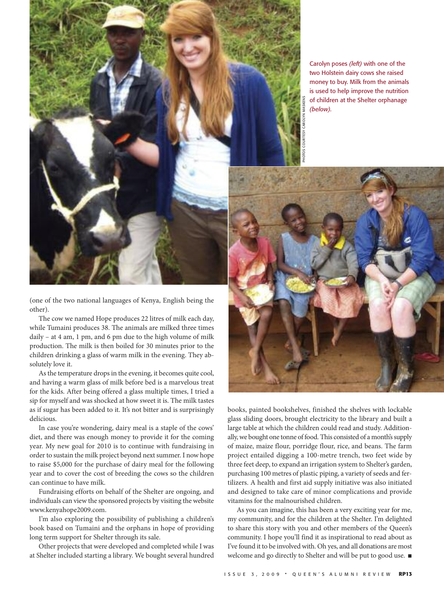

carolyn poses *(left)* with one of the two holstein dairy cows she raised money to buy. Milk from the animals is used to help improve the nutrition of children at the Shelter orphanage *(below).*



PhotoS courtESy carolyn maSkEnS

(one of the two national languages of Kenya, English being the other).

The cow we named Hope produces 22 litres of milk each day, while Tumaini produces 38. The animals are milked three times daily – at 4 am, 1 pm, and 6 pm due to the high volume of milk production. The milk is then boiled for 30 minutes prior to the children drinking a glass of warm milk in the evening. They absolutely love it.

As the temperature drops in the evening, it becomes quite cool, and having a warm glass of milk before bed is a marvelous treat for the kids. After being offered a glass multiple times, I tried a sip for myself and was shocked at how sweet it is. The milk tastes as if sugar has been added to it. It's not bitter and is surprisingly delicious.

In case you're wondering, dairy meal is a staple of the cows' diet, and there was enough money to provide it for the coming year. My new goal for 2010 is to continue with fundraising in order to sustain the milk project beyond next summer. I now hope to raise \$5,000 for the purchase of dairy meal for the following year and to cover the cost of breeding the cows so the children can continue to have milk.

Fundraising efforts on behalf of the Shelter are ongoing, and individuals can view the sponsored projects by visiting the website www.kenyahope2009.com.

I'm also exploring the possibility of publishing a children's book based on Tumaini and the orphans in hope of providing long term support for Shelter through its sale.

Other projects that were developed and completed while I was at Shelter included starting a library. We bought several hundred books, painted bookshelves, finished the shelves with lockable glass sliding doors, brought electricity to the library and built a large table at which the children could read and study. Additionally, we bought one tonne of food. This consisted of a month's supply of maize, maize flour, porridge flour, rice, and beans. The farm project entailed digging a 100-metre trench, two feet wide by three feet deep, to expand an irrigation system to Shelter's garden, purchasing 100 metres of plastic piping, a variety of seeds and fertilizers. A health and first aid supply initiative was also initiated and designed to take care of minor complications and provide vitamins for the malnourished children.

As you can imagine, this has been a very exciting year for me, my community, and for the children at the Shelter. I'm delighted to share this story with you and other members of the Queen's community. I hope you'll find it as inspirational to read about as I've found it to be involved with. Oh yes, and all donations are most welcome and go directly to Shelter and will be put to good use.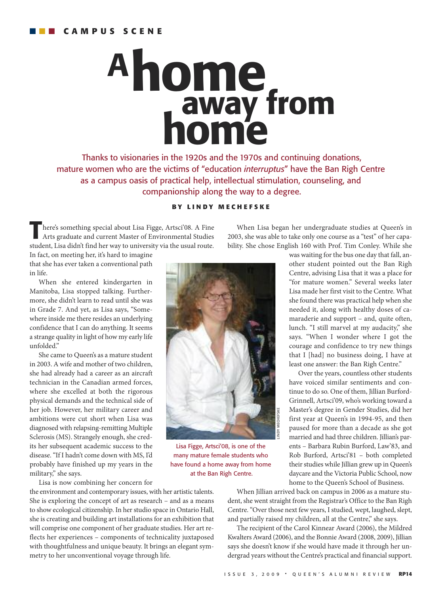# **away from home home A**

thanks to visionaries in the 1920s and the 1970s and continuing donations, mature women who are the victims of "education *interruptus*" have the Ban Righ Centre as a campus oasis of practical help, intellectual stimulation, counseling, and companionship along the way to a degree.

## **B Y L I N D Y M E C H E F S K E**

**T**here's something special about Lisa Figge, Artsci'08. <sup>A</sup> Fine Arts graduate and current Master of Environmental Studies student, Lisa didn't find her way to university via the usual route. In fact, on meeting her, it's hard to imagine

When Lisa began her undergraduate studies at Queen's in 2003, she was able to take only one course as a "test" of her capability. She chose English 160 with Prof. Tim Conley. While she

that she has ever taken a conventional path in life.

When she entered kindergarten in Manitoba, Lisa stopped talking. Furthermore, she didn't learn to read until she was in Grade 7. And yet, as Lisa says, "Somewhere inside me there resides an underlying confidence that I can do anything. It seems a strange quality in light of how my early life unfolded."

She came to Queen's as a mature student in 2003. A wife and mother of two children, she had already had a career as an aircraft technician in the Canadian armed forces, where she excelled at both the rigorous physical demands and the technical side of her job. However, her military career and ambitions were cut short when Lisa was diagnosed with relapsing-remitting Multiple Sclerosis (MS). Strangely enough, she credits her subsequent academic success to the disease."If I hadn't come down with MS, I'd probably have finished up my years in the military," she says.

Lisa is now combining her concern for

the environment and contemporary issues, with her artistic talents. She is exploring the concept of art as research – and as a means to show ecological citizenship. In her studio space in Ontario Hall, she is creating and building art installations for an exhibition that will comprise one component of her graduate studies. Her art reflects her experiences – components of technicality juxtaposed with thoughtfulness and unique beauty. It brings an elegant symmetry to her unconventional voyage through life.



Lisa Figge, Artsci'08, is one of the many mature female students who have found a home away from home at the Ban Righ Centre.

was waiting for the bus one day that fall, another student pointed out the Ban Righ Centre, advising Lisa that it was a place for "for mature women." Several weeks later Lisa made her first visit to the Centre. What she found there was practical help when she needed it, along with healthy doses of camaraderie and support – and, quite often, lunch. "I still marvel at my audacity," she says. "When I wonder where I got the courage and confidence to try new things that I [had] no business doing, I have at least one answer: the Ban Righ Centre."

Over the years, countless other students have voiced similar sentiments and continue to do so. One of them, Jillian Burford-Grinnell, Artsci'09, who's working toward a Master's degree in Gender Studies, did her first year at Queen's in 1994-95, and then paused for more than a decade as she got married and had three children. Jillian's parents – Barbara Rubin Burford, Law'83, and Rob Burford, Artsci'81 – both completed their studies while Jillian grew up in Queen's daycare and the Victoria Public School, now home to the Queen's School of Business.

When Jillian arrived back on campus in 2006 as a mature student, she went straight from the Registrar's Office to the Ban Righ Centre."Over those next few years, I studied, wept, laughed, slept, and partially raised my children, all at the Centre," she says.

The recipient of the Carol Kinnear Award (2006), the Mildred Kwalters Award (2006), and the Bonnie Award (2008, 2009), Jillian says she doesn't know if she would have made it through her undergrad years without the Centre's practical and financial support.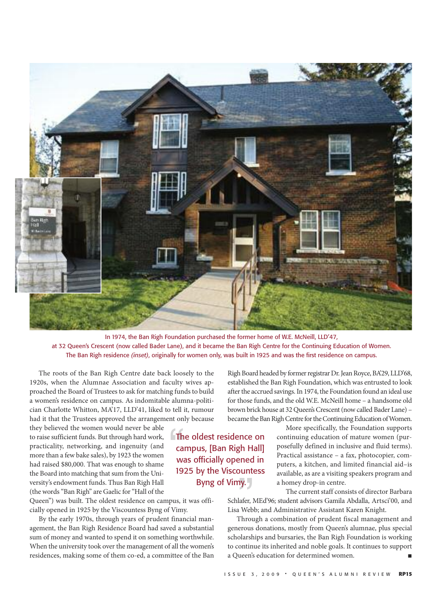

In 1974, the Ban Righ Foundation purchased the former home of W.E. McNeill, LLD'47, at 32 Queen's Crescent (now called Bader Lane), and it became the Ban Righ Centre for the Continuing Education of Women. the ban righ residence *(inset)*, originally for women only, was built in 1925 and was the first residence on campus.

The roots of the Ban Righ Centre date back loosely to the 1920s, when the Alumnae Association and faculty wives approached the Board of Trustees to ask for matching funds to build a women's residence on campus. As indomitable alumna-politician Charlotte Whitton, MA'17, LLD'41, liked to tell it, rumour had it that the Trustees approved the arrangement only because

they believed the women would never be able to raise sufficient funds. But through hard work, practicality, networking, and ingenuity (and more than a few bake sales), by 1923 the women had raised \$80,000. That was enough to shame the Board into matching that sum from the University's endowment funds. Thus Ban Righ Hall (the words"Ban Righ" are Gaelic for"Hall of the

Queen") was built. The oldest residence on campus, it was officially opened in 1925 by the Viscountess Byng of Vimy.

By the early 1970s, through years of prudent financial management, the Ban Righ Residence Board had saved a substantial sum of money and wanted to spend it on something worthwhile. When the university took over the management of all the women's residences, making some of them co-ed, a committee of the Ban Righ Board headed by former registrar Dr. Jean Royce, BA'29, LLD'68, established the Ban Righ Foundation, which was entrusted to look after the accrued savings. In 1974, the Foundation found an ideal use for those funds, and the old W.E. McNeill home – a handsome old brown brick house at 32 Queen's Crescent (now called Bader Lane) became the Ban Righ Centre for the Continuing Education of Women.

**The oldest residence on** campus, [Ban Righ Hall] was officially opened in 1925 by the Viscountess byng of vimy.

More specifically, the Foundation supports continuing education of mature women (purposefully defined in inclusive and fluid terms). Practical assistance – a fax, photocopier, computers, a kitchen, and limited financial aid–is available, as are a visiting speakers program and a homey drop-in centre.

The current staff consists of director Barbara Schlafer, MEd'96; student advisors Gamila Abdalla, Artsci'00, and Lisa Webb; and Administrative Assistant Karen Knight.

Through a combination of prudent fiscal management and generous donations, mostly from Queen's alumnae, plus special scholarships and bursaries, the Ban Righ Foundation is working to continue its inherited and noble goals. It continues to support a Queen's education for determined women.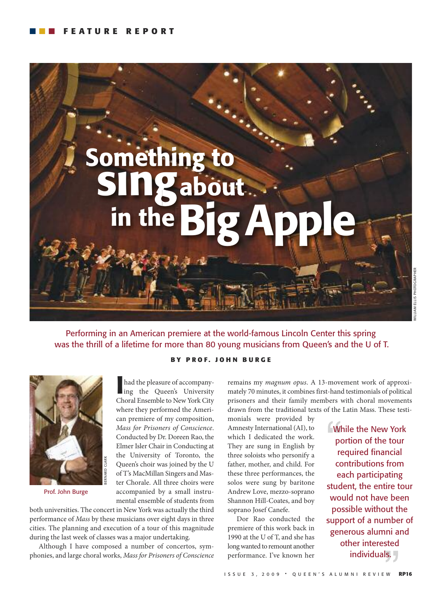![](_page_15_Picture_1.jpeg)

Performing in an American premiere at the world-famous Lincoln Center this spring was the thrill of a lifetime for more than 80 young musicians from Queen's and the U of T.

## **B Y P R O F . J O H N B U R G E**

![](_page_15_Picture_4.jpeg)

Prof. John burge

**I** had the pleasure of accompany-<br>ing the Queen's University had the pleasure of accompany-Choral Ensemble to New York City where they performed the American premiere of my composition, *Mass for Prisoners of Conscience*. Conducted by Dr. Doreen Rao, the Elmer Isler Chair in Conducting at the University of Toronto, the Queen's choir was joined by the U of T's MacMillan Singers and Master Chorale. All three choirs were accompanied by a small instrumental ensemble of students from

both universities. The concert in New York was actually the third performance of *Mass* by these musicians over eight days in three cities. The planning and execution of a tour of this magnitude during the last week of classes was a major undertaking.

Although I have composed a number of concertos, symphonies, and large choral works, *Mass for Prisoners of Conscience* remains my *magnum opus*. A 13-movement work of approximately 70 minutes, it combines first-hand testimonials of political prisoners and their family members with choral movements drawn from the traditional texts of the Latin Mass. These testi-

monials were provided by Amnesty International (AI), to which I dedicated the work. They are sung in English by three soloists who personify a father, mother, and child. For these three performances, the solos were sung by baritone Andrew Love, mezzo-soprano Shannon Hill-Coates, and boy soprano Josef Canefe.

Dor Rao conducted the premiere of this work back in 1990 at the U of T, and she has long wanted to remount another performance. I've known her

**EWhile the New York** portion of the tour required financial contributions from each participating student, the entire tour would not have been possible without the support of a number of generous alumni and other interested individuals.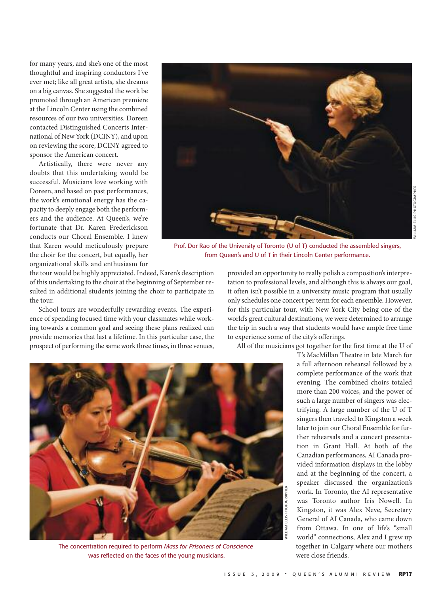for many years, and she's one of the most thoughtful and inspiring conductors I've ever met; like all great artists, she dreams on a big canvas. She suggested the work be promoted through an American premiere at the Lincoln Center using the combined resources of our two universities. Doreen contacted Distinguished Concerts International of New York (DCINY), and upon on reviewing the score, DCINY agreed to sponsor the American concert.

Artistically, there were never any doubts that this undertaking would be successful. Musicians love working with Doreen, and based on past performances, the work's emotional energy has the capacity to deeply engage both the performers and the audience. At Queen's, we're fortunate that Dr. Karen Frederickson conducts our Choral Ensemble. I knew that Karen would meticulously prepare the choir for the concert, but equally, her organizational skills and enthusiasm for

![](_page_16_Picture_2.jpeg)

Prof. Dor Rao of the University of Toronto (U of T) conducted the assembled singers, from Queen's and U of T in their Lincoln Center performance.

the tour would be highly appreciated. Indeed, Karen's description of this undertaking to the choir at the beginning of September resulted in additional students joining the choir to participate in the tour.

School tours are wonderfully rewarding events. The experience of spending focused time with your classmates while working towards a common goal and seeing these plans realized can provide memories that last a lifetime. In this particular case, the prospect of performing the same work three times, in three venues,

provided an opportunity to really polish a composition's interpretation to professional levels, and although this is always our goal, it often isn't possible in a university music program that usually only schedules one concert per term for each ensemble. However, for this particular tour, with New York City being one of the world's great cultural destinations, we were determined to arrange the trip in such a way that students would have ample free time to experience some of the city's offerings.

All of the musicians got together for the first time at the U of

![](_page_16_Picture_9.jpeg)

the concentration required to perform *Mass for Prisoners of Conscience* was reflected on the faces of the young musicians.

T's MacMillan Theatre in late March for a full afternoon rehearsal followed by a complete performance of the work that evening. The combined choirs totaled more than 200 voices, and the power of such a large number of singers was electrifying. A large number of the U of T singers then traveled to Kingston a week later to join our Choral Ensemble for further rehearsals and a concert presentation in Grant Hall. At both of the Canadian performances, AI Canada provided information displays in the lobby and at the beginning of the concert, a speaker discussed the organization's work. In Toronto, the AI representative was Toronto author Iris Nowell. In Kingston, it was Alex Neve, Secretary General of AI Canada, who came down from Ottawa. In one of life's "small world" connections, Alex and I grew up together in Calgary where our mothers were close friends.